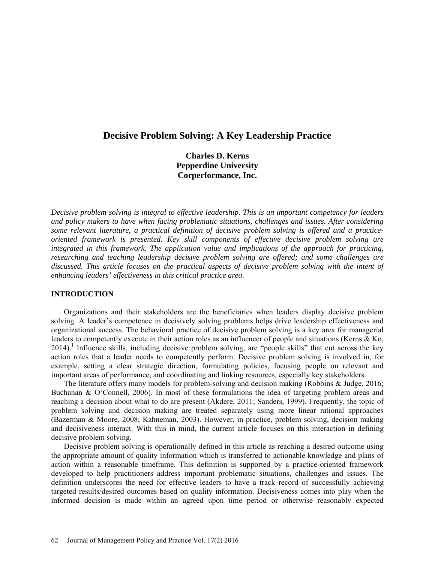# **Decisive Problem Solving: A Key Leadership Practice**

**Charles D. Kerns Pepperdine University Corperformance, Inc.**

*Decisive problem solving is integral to effective leadership. This is an important competency for leaders and policy makers to have when facing problematic situations, challenges and issues. After considering some relevant literature, a practical definition of decisive problem solving is offered and a practiceoriented framework is presented. Key skill components of effective decisive problem solving are integrated in this framework. The application value and implications of the approach for practicing, researching and teaching leadership decisive problem solving are offered; and some challenges are discussed. This article focuses on the practical aspects of decisive problem solving with the intent of enhancing leaders' effectiveness in this critical practice area.*

#### **INTRODUCTION**

Organizations and their stakeholders are the beneficiaries when leaders display decisive problem solving. A leader's competence in decisively solving problems helps drive leadership effectiveness and organizational success. The behavioral practice of decisive problem solving is a key area for managerial leaders to competently execute in their action roles as an influencer of people and situations (Kerns & Ko, 2014).<sup>1</sup> Influence skills, including decisive problem solving, are "people skills" that cut across the key action roles that a leader needs to competently perform. Decisive problem solving is involved in, for example, setting a clear strategic direction, formulating policies, focusing people on relevant and important areas of performance, and coordinating and linking resources, especially key stakeholders.

The literature offers many models for problem-solving and decision making (Robbins & Judge, 2016; Buchanan & O'Connell, 2006). In most of these formulations the idea of targeting problem areas and reaching a decision about what to do are present (Akdere, 2011; Sanders, 1999). Frequently, the topic of problem solving and decision making are treated separately using more linear rational approaches (Bazerman & Moore, 2008; Kahneman, 2003). However, in practice, problem solving, decision making and decisiveness interact. With this in mind, the current article focuses on this interaction in defining decisive problem solving.

Decisive problem solving is operationally defined in this article as reaching a desired outcome using the appropriate amount of quality information which is transferred to actionable knowledge and plans of action within a reasonable timeframe. This definition is supported by a practice-oriented framework developed to help practitioners address important problematic situations, challenges and issues. The definition underscores the need for effective leaders to have a track record of successfully achieving targeted results/desired outcomes based on quality information. Decisiveness comes into play when the informed decision is made within an agreed upon time period or otherwise reasonably expected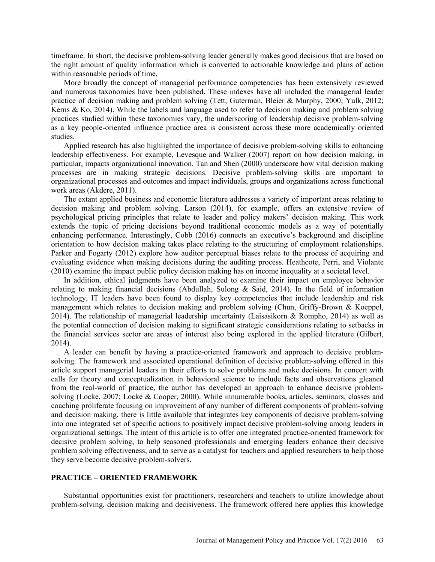timeframe. In short, the decisive problem-solving leader generally makes good decisions that are based on the right amount of quality information which is converted to actionable knowledge and plans of action within reasonable periods of time.

More broadly the concept of managerial performance competencies has been extensively reviewed and numerous taxonomies have been published. These indexes have all included the managerial leader practice of decision making and problem solving (Tett, Guterman, Bleier & Murphy, 2000; Yulk, 2012; Kerns & Ko, 2014). While the labels and language used to refer to decision making and problem solving practices studied within these taxonomies vary, the underscoring of leadership decisive problem-solving as a key people-oriented influence practice area is consistent across these more academically oriented studies.

Applied research has also highlighted the importance of decisive problem-solving skills to enhancing leadership effectiveness. For example, Levesque and Walker (2007) report on how decision making, in particular, impacts organizational innovation. Tan and Shen (2000) underscore how vital decision making processes are in making strategic decisions. Decisive problem-solving skills are important to organizational processes and outcomes and impact individuals, groups and organizations across functional work areas (Akdere, 2011).

The extant applied business and economic literature addresses a variety of important areas relating to decision making and problem solving. Larson (2014), for example, offers an extensive review of psychological pricing principles that relate to leader and policy makers' decision making. This work extends the topic of pricing decisions beyond traditional economic models as a way of potentially enhancing performance. Interestingly, Cobb (2016) connects an executive's background and discipline orientation to how decision making takes place relating to the structuring of employment relationships. Parker and Fogarty (2012) explore how auditor perceptual biases relate to the process of acquiring and evaluating evidence when making decisions during the auditing process. Heathcote, Perri, and Violante (2010) examine the impact public policy decision making has on income inequality at a societal level.

In addition, ethical judgments have been analyzed to examine their impact on employee behavior relating to making financial decisions (Abdullah, Sulong & Said, 2014). In the field of information technology, IT leaders have been found to display key competencies that include leadership and risk management which relates to decision making and problem solving (Chun, Griffy-Brown & Koeppel, 2014). The relationship of managerial leadership uncertainty (Laisasikorn & Rompho, 2014) as well as the potential connection of decision making to significant strategic considerations relating to setbacks in the financial services sector are areas of interest also being explored in the applied literature (Gilbert, 2014).

A leader can benefit by having a practice-oriented framework and approach to decisive problemsolving. The framework and associated operational definition of decisive problem-solving offered in this article support managerial leaders in their efforts to solve problems and make decisions. In concert with calls for theory and conceptualization in behavioral science to include facts and observations gleaned from the real-world of practice, the author has developed an approach to enhance decisive problemsolving (Locke, 2007; Locke & Cooper, 2000). While innumerable books, articles, seminars, classes and coaching proliferate focusing on improvement of any number of different components of problem-solving and decision making, there is little available that integrates key components of decisive problem-solving into one integrated set of specific actions to positively impact decisive problem-solving among leaders in organizational settings. The intent of this article is to offer one integrated practice-oriented framework for decisive problem solving, to help seasoned professionals and emerging leaders enhance their decisive problem solving effectiveness, and to serve as a catalyst for teachers and applied researchers to help those they serve become decisive problem-solvers.

# **PRACTICE – ORIENTED FRAMEWORK**

Substantial opportunities exist for practitioners, researchers and teachers to utilize knowledge about problem-solving, decision making and decisiveness. The framework offered here applies this knowledge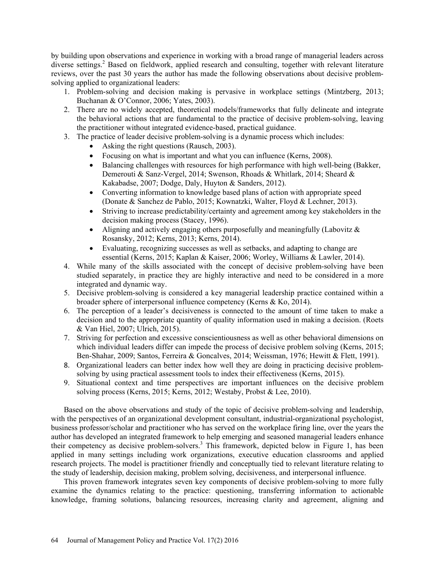by building upon observations and experience in working with a broad range of managerial leaders across diverse settings.<sup>2</sup> Based on fieldwork, applied research and consulting, together with relevant literature reviews, over the past 30 years the author has made the following observations about decisive problemsolving applied to organizational leaders:

- 1. Problem-solving and decision making is pervasive in workplace settings (Mintzberg, 2013; Buchanan & O'Connor, 2006; Yates, 2003).
- 2. There are no widely accepted, theoretical models/frameworks that fully delineate and integrate the behavioral actions that are fundamental to the practice of decisive problem-solving, leaving the practitioner without integrated evidence-based, practical guidance.
- 3. The practice of leader decisive problem-solving is a dynamic process which includes:
	- Asking the right questions (Rausch, 2003).
	- Focusing on what is important and what you can influence (Kerns, 2008).
	- Balancing challenges with resources for high performance with high well-being (Bakker, Demerouti & Sanz-Vergel, 2014; Swenson, Rhoads & Whitlark, 2014; Sheard & Kakabadse, 2007; Dodge, Daly, Huyton & Sanders, 2012).
	- Converting information to knowledge based plans of action with appropriate speed (Donate & Sanchez de Pablo, 2015; Kownatzki, Walter, Floyd & Lechner, 2013).
	- Striving to increase predictability/certainty and agreement among key stakeholders in the decision making process (Stacey, 1996).
	- Aligning and actively engaging others purposefully and meaningfully (Labovitz  $\&$ Rosansky, 2012; Kerns, 2013; Kerns, 2014).
	- Evaluating, recognizing successes as well as setbacks, and adapting to change are essential (Kerns, 2015; Kaplan & Kaiser, 2006; Worley, Williams & Lawler, 2014).
- 4. While many of the skills associated with the concept of decisive problem-solving have been studied separately, in practice they are highly interactive and need to be considered in a more integrated and dynamic way.
- 5. Decisive problem-solving is considered a key managerial leadership practice contained within a broader sphere of interpersonal influence competency (Kerns & Ko, 2014).
- 6. The perception of a leader's decisiveness is connected to the amount of time taken to make a decision and to the appropriate quantity of quality information used in making a decision. (Roets & Van Hiel, 2007; Ulrich, 2015).
- 7. Striving for perfection and excessive conscientiousness as well as other behavioral dimensions on which individual leaders differ can impede the process of decisive problem solving (Kerns, 2015; Ben-Shahar, 2009; Santos, Ferreira & Goncalves, 2014; Weissman, 1976; Hewitt & Flett, 1991).
- 8. Organizational leaders can better index how well they are doing in practicing decisive problemsolving by using practical assessment tools to index their effectiveness (Kerns, 2015).
- 9. Situational context and time perspectives are important influences on the decisive problem solving process (Kerns, 2015; Kerns, 2012; Westaby, Probst & Lee, 2010).

Based on the above observations and study of the topic of decisive problem-solving and leadership, with the perspectives of an organizational development consultant, industrial-organizational psychologist, business professor/scholar and practitioner who has served on the workplace firing line, over the years the author has developed an integrated framework to help emerging and seasoned managerial leaders enhance their competency as decisive problem-solvers.<sup>3</sup> This framework, depicted below in Figure 1, has been applied in many settings including work organizations, executive education classrooms and applied research projects. The model is practitioner friendly and conceptually tied to relevant literature relating to the study of leadership, decision making, problem solving, decisiveness, and interpersonal influence.

This proven framework integrates seven key components of decisive problem-solving to more fully examine the dynamics relating to the practice: questioning, transferring information to actionable knowledge, framing solutions, balancing resources, increasing clarity and agreement, aligning and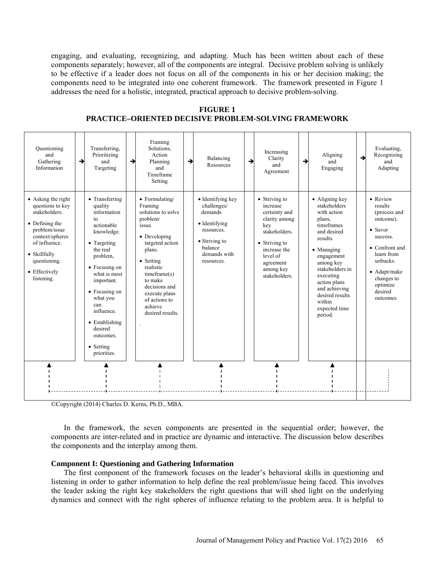engaging, and evaluating, recognizing, and adapting. Much has been written about each of these components separately; however, all of the components are integral. Decisive problem solving is unlikely to be effective if a leader does not focus on all of the components in his or her decision making; the components need to be integrated into one coherent framework. The framework presented in Figure 1 addresses the need for a holistic, integrated, practical approach to decisive problem-solving.

**FIGURE 1 PRACTICE–ORIENTED DECISIVE PROBLEM-SOLVING FRAMEWORK**

| Ouestioning<br>and<br>Gathering<br>Information                                                                                                                                                | → | Transferring,<br>Prioritizing<br>and<br>Targeting                                                                                                                                                                                                                                        | $\rightarrow$ | Framing<br>Solutions.<br>Action<br>Planning<br>and<br>Timeframe<br>Setting                                                                                                                                                                                | → | Balancing<br>Resources                                                                                                                       | $\rightarrow$ | Increasing<br>Clarity<br>and<br>Agreement                                                                                                                                   | → | Aligning<br>and<br>Engaging                                                                                                                                                                                                                                         | $\rightarrow$ | Evaluating,<br>Recognizing<br>and<br>Adapting                                                                                                                                                 |
|-----------------------------------------------------------------------------------------------------------------------------------------------------------------------------------------------|---|------------------------------------------------------------------------------------------------------------------------------------------------------------------------------------------------------------------------------------------------------------------------------------------|---------------|-----------------------------------------------------------------------------------------------------------------------------------------------------------------------------------------------------------------------------------------------------------|---|----------------------------------------------------------------------------------------------------------------------------------------------|---------------|-----------------------------------------------------------------------------------------------------------------------------------------------------------------------------|---|---------------------------------------------------------------------------------------------------------------------------------------------------------------------------------------------------------------------------------------------------------------------|---------------|-----------------------------------------------------------------------------------------------------------------------------------------------------------------------------------------------|
| • Asking the right<br>questions to key<br>stakeholders.<br>• Defining the<br>problem/issue<br>context/spheres<br>of influence.<br>• Skillfully<br>questioning.<br>• Effectively<br>listening. |   | • Transferring<br>quality<br>information<br>to<br>actionable<br>knowledge.<br>• Targeting<br>the real<br>problem.<br>• Focusing on<br>what is most<br>important.<br>• Focusing on<br>what you<br>can<br>influence.<br>• Establishing<br>desired<br>outcomes.<br>• Setting<br>priorities. |               | • Formulating/<br>Framing<br>solutions to solve<br>problem/<br>issue.<br>• Developing<br>targeted action<br>plans.<br>• Setting<br>realistic<br>timeframe(s)<br>to make<br>decisions and<br>execute plans<br>of actions to<br>achieve<br>desired results. |   | • Identifying key<br>challenges/<br>demands<br>• Identifying<br>resources.<br>$\bullet$ Striving to<br>balance<br>demands with<br>resources. |               | • Striving to<br>increase<br>certainty and<br>clarity among<br>key<br>stakeholders.<br>• Striving to<br>increase the<br>level of<br>agreement<br>among key<br>stakeholders. |   | • Aligning key<br>stakeholders<br>with action<br>plans.<br>timeframes<br>and desired<br>results.<br>• Managing<br>engagement<br>among key<br>stakeholders in<br>executing<br>action plans<br>and achieving<br>desired results<br>within<br>expected time<br>period. |               | • Review<br>results<br>(process and<br>outcome).<br>$\bullet$ Savor<br>success.<br>• Confront and<br>learn from<br>setbacks.<br>• Adapt/make<br>changes to<br>optimize<br>desired<br>outcomes |
|                                                                                                                                                                                               |   |                                                                                                                                                                                                                                                                                          |               |                                                                                                                                                                                                                                                           |   |                                                                                                                                              |               |                                                                                                                                                                             |   |                                                                                                                                                                                                                                                                     |               |                                                                                                                                                                                               |

©Copyright (2014) Charles D. Kerns, Ph.D., MBA.

In the framework, the seven components are presented in the sequential order; however, the components are inter-related and in practice are dynamic and interactive. The discussion below describes the components and the interplay among them.

#### **Component I: Questioning and Gathering Information**

The first component of the framework focuses on the leader's behavioral skills in questioning and listening in order to gather information to help define the real problem/issue being faced. This involves the leader asking the right key stakeholders the right questions that will shed light on the underlying dynamics and connect with the right spheres of influence relating to the problem area. It is helpful to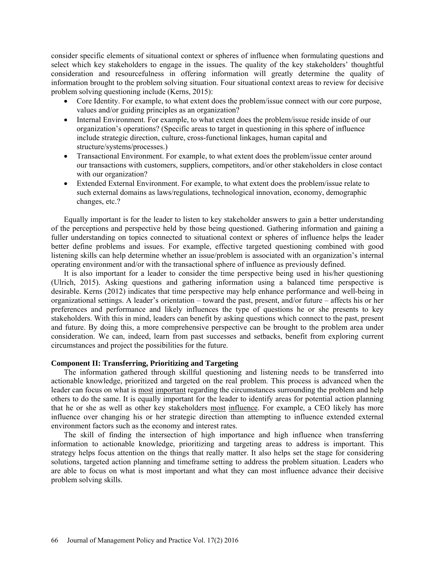consider specific elements of situational context or spheres of influence when formulating questions and select which key stakeholders to engage in the issues. The quality of the key stakeholders' thoughtful consideration and resourcefulness in offering information will greatly determine the quality of information brought to the problem solving situation. Four situational context areas to review for decisive problem solving questioning include (Kerns, 2015):

- Core Identity. For example, to what extent does the problem/issue connect with our core purpose, values and/or guiding principles as an organization?
- Internal Environment. For example, to what extent does the problem/issue reside inside of our organization's operations? (Specific areas to target in questioning in this sphere of influence include strategic direction, culture, cross-functional linkages, human capital and structure/systems/processes.)
- Transactional Environment. For example, to what extent does the problem/issue center around our transactions with customers, suppliers, competitors, and/or other stakeholders in close contact with our organization?
- Extended External Environment. For example, to what extent does the problem/issue relate to such external domains as laws/regulations, technological innovation, economy, demographic changes, etc.?

Equally important is for the leader to listen to key stakeholder answers to gain a better understanding of the perceptions and perspective held by those being questioned. Gathering information and gaining a fuller understanding on topics connected to situational context or spheres of influence helps the leader better define problems and issues. For example, effective targeted questioning combined with good listening skills can help determine whether an issue/problem is associated with an organization's internal operating environment and/or with the transactional sphere of influence as previously defined.

It is also important for a leader to consider the time perspective being used in his/her questioning (Ulrich, 2015). Asking questions and gathering information using a balanced time perspective is desirable. Kerns (2012) indicates that time perspective may help enhance performance and well-being in organizational settings. A leader's orientation – toward the past, present, and/or future – affects his or her preferences and performance and likely influences the type of questions he or she presents to key stakeholders. With this in mind, leaders can benefit by asking questions which connect to the past, present and future. By doing this, a more comprehensive perspective can be brought to the problem area under consideration. We can, indeed, learn from past successes and setbacks, benefit from exploring current circumstances and project the possibilities for the future.

#### **Component II: Transferring, Prioritizing and Targeting**

The information gathered through skillful questioning and listening needs to be transferred into actionable knowledge, prioritized and targeted on the real problem. This process is advanced when the leader can focus on what is most important regarding the circumstances surrounding the problem and help others to do the same. It is equally important for the leader to identify areas for potential action planning that he or she as well as other key stakeholders most influence. For example, a CEO likely has more influence over changing his or her strategic direction than attempting to influence extended external environment factors such as the economy and interest rates.

The skill of finding the intersection of high importance and high influence when transferring information to actionable knowledge, prioritizing and targeting areas to address is important. This strategy helps focus attention on the things that really matter. It also helps set the stage for considering solutions, targeted action planning and timeframe setting to address the problem situation. Leaders who are able to focus on what is most important and what they can most influence advance their decisive problem solving skills.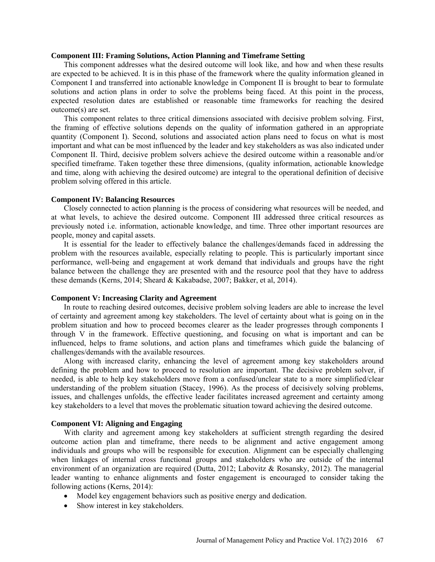# **Component III: Framing Solutions, Action Planning and Timeframe Setting**

This component addresses what the desired outcome will look like, and how and when these results are expected to be achieved. It is in this phase of the framework where the quality information gleaned in Component I and transferred into actionable knowledge in Component II is brought to bear to formulate solutions and action plans in order to solve the problems being faced. At this point in the process, expected resolution dates are established or reasonable time frameworks for reaching the desired outcome(s) are set.

This component relates to three critical dimensions associated with decisive problem solving. First, the framing of effective solutions depends on the quality of information gathered in an appropriate quantity (Component I). Second, solutions and associated action plans need to focus on what is most important and what can be most influenced by the leader and key stakeholders as was also indicated under Component II. Third, decisive problem solvers achieve the desired outcome within a reasonable and/or specified timeframe. Taken together these three dimensions, (quality information, actionable knowledge and time, along with achieving the desired outcome) are integral to the operational definition of decisive problem solving offered in this article.

#### **Component IV: Balancing Resources**

Closely connected to action planning is the process of considering what resources will be needed, and at what levels, to achieve the desired outcome. Component III addressed three critical resources as previously noted i.e. information, actionable knowledge, and time. Three other important resources are people, money and capital assets.

It is essential for the leader to effectively balance the challenges/demands faced in addressing the problem with the resources available, especially relating to people. This is particularly important since performance, well-being and engagement at work demand that individuals and groups have the right balance between the challenge they are presented with and the resource pool that they have to address these demands (Kerns, 2014; Sheard & Kakabadse, 2007; Bakker, et al, 2014).

#### **Component V: Increasing Clarity and Agreement**

In route to reaching desired outcomes, decisive problem solving leaders are able to increase the level of certainty and agreement among key stakeholders. The level of certainty about what is going on in the problem situation and how to proceed becomes clearer as the leader progresses through components I through V in the framework. Effective questioning, and focusing on what is important and can be influenced, helps to frame solutions, and action plans and timeframes which guide the balancing of challenges/demands with the available resources.

Along with increased clarity, enhancing the level of agreement among key stakeholders around defining the problem and how to proceed to resolution are important. The decisive problem solver, if needed, is able to help key stakeholders move from a confused/unclear state to a more simplified/clear understanding of the problem situation (Stacey, 1996). As the process of decisively solving problems, issues, and challenges unfolds, the effective leader facilitates increased agreement and certainty among key stakeholders to a level that moves the problematic situation toward achieving the desired outcome.

#### **Component VI: Aligning and Engaging**

With clarity and agreement among key stakeholders at sufficient strength regarding the desired outcome action plan and timeframe, there needs to be alignment and active engagement among individuals and groups who will be responsible for execution. Alignment can be especially challenging when linkages of internal cross functional groups and stakeholders who are outside of the internal environment of an organization are required (Dutta, 2012; Labovitz & Rosansky, 2012). The managerial leader wanting to enhance alignments and foster engagement is encouraged to consider taking the following actions (Kerns, 2014):

- Model key engagement behaviors such as positive energy and dedication.
- Show interest in key stakeholders.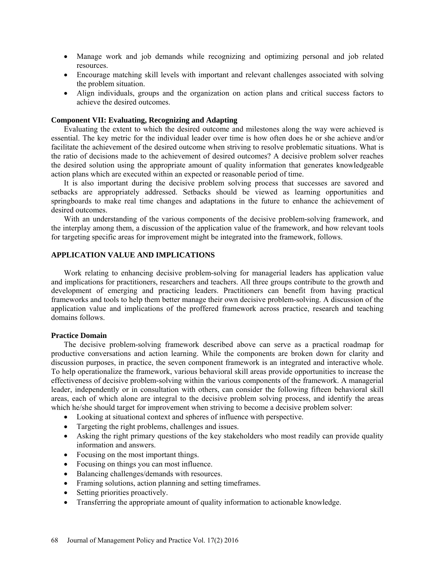- Manage work and job demands while recognizing and optimizing personal and job related resources.
- Encourage matching skill levels with important and relevant challenges associated with solving the problem situation.
- Align individuals, groups and the organization on action plans and critical success factors to achieve the desired outcomes.

#### **Component VII: Evaluating, Recognizing and Adapting**

Evaluating the extent to which the desired outcome and milestones along the way were achieved is essential. The key metric for the individual leader over time is how often does he or she achieve and/or facilitate the achievement of the desired outcome when striving to resolve problematic situations. What is the ratio of decisions made to the achievement of desired outcomes? A decisive problem solver reaches the desired solution using the appropriate amount of quality information that generates knowledgeable action plans which are executed within an expected or reasonable period of time.

It is also important during the decisive problem solving process that successes are savored and setbacks are appropriately addressed. Setbacks should be viewed as learning opportunities and springboards to make real time changes and adaptations in the future to enhance the achievement of desired outcomes.

With an understanding of the various components of the decisive problem-solving framework, and the interplay among them, a discussion of the application value of the framework, and how relevant tools for targeting specific areas for improvement might be integrated into the framework, follows.

## **APPLICATION VALUE AND IMPLICATIONS**

Work relating to enhancing decisive problem-solving for managerial leaders has application value and implications for practitioners, researchers and teachers. All three groups contribute to the growth and development of emerging and practicing leaders. Practitioners can benefit from having practical frameworks and tools to help them better manage their own decisive problem-solving. A discussion of the application value and implications of the proffered framework across practice, research and teaching domains follows.

#### **Practice Domain**

The decisive problem-solving framework described above can serve as a practical roadmap for productive conversations and action learning. While the components are broken down for clarity and discussion purposes, in practice, the seven component framework is an integrated and interactive whole. To help operationalize the framework, various behavioral skill areas provide opportunities to increase the effectiveness of decisive problem-solving within the various components of the framework. A managerial leader, independently or in consultation with others, can consider the following fifteen behavioral skill areas, each of which alone are integral to the decisive problem solving process, and identify the areas which he/she should target for improvement when striving to become a decisive problem solver:

- Looking at situational context and spheres of influence with perspective.
- Targeting the right problems, challenges and issues.
- Asking the right primary questions of the key stakeholders who most readily can provide quality information and answers.
- Focusing on the most important things.
- Focusing on things you can most influence.
- Balancing challenges/demands with resources.
- Framing solutions, action planning and setting timeframes.
- Setting priorities proactively.
- Transferring the appropriate amount of quality information to actionable knowledge.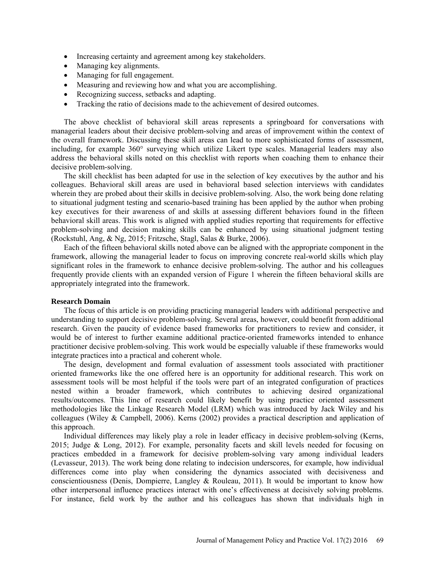- Increasing certainty and agreement among key stakeholders.
- Managing key alignments.
- Managing for full engagement.
- Measuring and reviewing how and what you are accomplishing.
- Recognizing success, setbacks and adapting.
- Tracking the ratio of decisions made to the achievement of desired outcomes.

The above checklist of behavioral skill areas represents a springboard for conversations with managerial leaders about their decisive problem-solving and areas of improvement within the context of the overall framework. Discussing these skill areas can lead to more sophisticated forms of assessment, including, for example 360° surveying which utilize Likert type scales. Managerial leaders may also address the behavioral skills noted on this checklist with reports when coaching them to enhance their decisive problem-solving.

The skill checklist has been adapted for use in the selection of key executives by the author and his colleagues. Behavioral skill areas are used in behavioral based selection interviews with candidates wherein they are probed about their skills in decisive problem-solving. Also, the work being done relating to situational judgment testing and scenario-based training has been applied by the author when probing key executives for their awareness of and skills at assessing different behaviors found in the fifteen behavioral skill areas. This work is aligned with applied studies reporting that requirements for effective problem-solving and decision making skills can be enhanced by using situational judgment testing (Rockstuhl, Ang, & Ng, 2015; Fritzsche, Stagl, Salas & Burke, 2006).

Each of the fifteen behavioral skills noted above can be aligned with the appropriate component in the framework, allowing the managerial leader to focus on improving concrete real-world skills which play significant roles in the framework to enhance decisive problem-solving. The author and his colleagues frequently provide clients with an expanded version of Figure 1 wherein the fifteen behavioral skills are appropriately integrated into the framework.

#### **Research Domain**

The focus of this article is on providing practicing managerial leaders with additional perspective and understanding to support decisive problem-solving. Several areas, however, could benefit from additional research. Given the paucity of evidence based frameworks for practitioners to review and consider, it would be of interest to further examine additional practice-oriented frameworks intended to enhance practitioner decisive problem-solving. This work would be especially valuable if these frameworks would integrate practices into a practical and coherent whole.

The design, development and formal evaluation of assessment tools associated with practitioner oriented frameworks like the one offered here is an opportunity for additional research. This work on assessment tools will be most helpful if the tools were part of an integrated configuration of practices nested within a broader framework, which contributes to achieving desired organizational results/outcomes. This line of research could likely benefit by using practice oriented assessment methodologies like the Linkage Research Model (LRM) which was introduced by Jack Wiley and his colleagues (Wiley & Campbell, 2006). Kerns (2002) provides a practical description and application of this approach.

Individual differences may likely play a role in leader efficacy in decisive problem-solving (Kerns, 2015; Judge & Long, 2012). For example, personality facets and skill levels needed for focusing on practices embedded in a framework for decisive problem-solving vary among individual leaders (Levasseur, 2013). The work being done relating to indecision underscores, for example, how individual differences come into play when considering the dynamics associated with decisiveness and conscientiousness (Denis, Dompierre, Langley & Rouleau, 2011). It would be important to know how other interpersonal influence practices interact with one's effectiveness at decisively solving problems. For instance, field work by the author and his colleagues has shown that individuals high in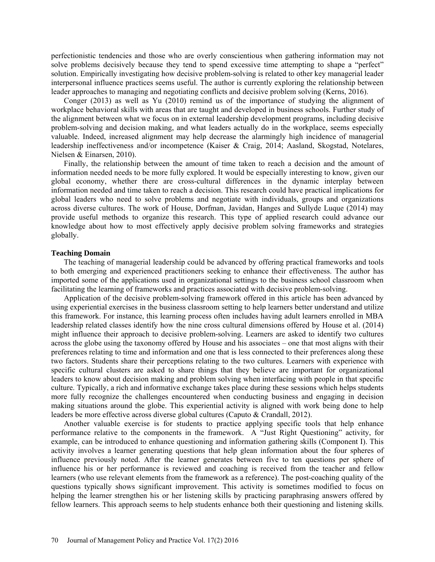perfectionistic tendencies and those who are overly conscientious when gathering information may not solve problems decisively because they tend to spend excessive time attempting to shape a "perfect" solution. Empirically investigating how decisive problem-solving is related to other key managerial leader interpersonal influence practices seems useful. The author is currently exploring the relationship between leader approaches to managing and negotiating conflicts and decisive problem solving (Kerns, 2016).

Conger (2013) as well as Yu (2010) remind us of the importance of studying the alignment of workplace behavioral skills with areas that are taught and developed in business schools. Further study of the alignment between what we focus on in external leadership development programs, including decisive problem-solving and decision making, and what leaders actually do in the workplace, seems especially valuable. Indeed, increased alignment may help decrease the alarmingly high incidence of managerial leadership ineffectiveness and/or incompetence (Kaiser & Craig, 2014; Aasland, Skogstad, Notelares, Nielsen & Einarsen, 2010).

Finally, the relationship between the amount of time taken to reach a decision and the amount of information needed needs to be more fully explored. It would be especially interesting to know, given our global economy, whether there are cross-cultural differences in the dynamic interplay between information needed and time taken to reach a decision. This research could have practical implications for global leaders who need to solve problems and negotiate with individuals, groups and organizations across diverse cultures. The work of House, Dorfman, Javidan, Hanges and Sullyde Luque (2014) may provide useful methods to organize this research. This type of applied research could advance our knowledge about how to most effectively apply decisive problem solving frameworks and strategies globally.

### **Teaching Domain**

The teaching of managerial leadership could be advanced by offering practical frameworks and tools to both emerging and experienced practitioners seeking to enhance their effectiveness. The author has imported some of the applications used in organizational settings to the business school classroom when facilitating the learning of frameworks and practices associated with decisive problem-solving.

Application of the decisive problem-solving framework offered in this article has been advanced by using experiential exercises in the business classroom setting to help learners better understand and utilize this framework. For instance, this learning process often includes having adult learners enrolled in MBA leadership related classes identify how the nine cross cultural dimensions offered by House et al. (2014) might influence their approach to decisive problem-solving. Learners are asked to identify two cultures across the globe using the taxonomy offered by House and his associates – one that most aligns with their preferences relating to time and information and one that is less connected to their preferences along these two factors. Students share their perceptions relating to the two cultures. Learners with experience with specific cultural clusters are asked to share things that they believe are important for organizational leaders to know about decision making and problem solving when interfacing with people in that specific culture. Typically, a rich and informative exchange takes place during these sessions which helps students more fully recognize the challenges encountered when conducting business and engaging in decision making situations around the globe. This experiential activity is aligned with work being done to help leaders be more effective across diverse global cultures (Caputo & Crandall, 2012).

Another valuable exercise is for students to practice applying specific tools that help enhance performance relative to the components in the framework. A "Just Right Questioning" activity, for example, can be introduced to enhance questioning and information gathering skills (Component I). This activity involves a learner generating questions that help glean information about the four spheres of influence previously noted. After the learner generates between five to ten questions per sphere of influence his or her performance is reviewed and coaching is received from the teacher and fellow learners (who use relevant elements from the framework as a reference). The post-coaching quality of the questions typically shows significant improvement. This activity is sometimes modified to focus on helping the learner strengthen his or her listening skills by practicing paraphrasing answers offered by fellow learners. This approach seems to help students enhance both their questioning and listening skills.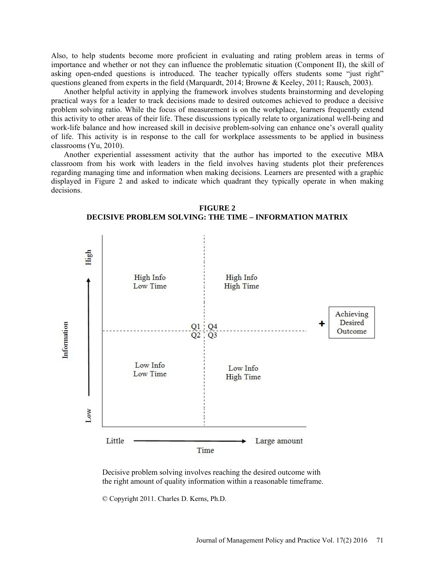Also, to help students become more proficient in evaluating and rating problem areas in terms of importance and whether or not they can influence the problematic situation (Component II), the skill of asking open-ended questions is introduced. The teacher typically offers students some "just right" questions gleaned from experts in the field (Marquardt, 2014; Browne & Keeley, 2011; Rausch, 2003).

Another helpful activity in applying the framework involves students brainstorming and developing practical ways for a leader to track decisions made to desired outcomes achieved to produce a decisive problem solving ratio. While the focus of measurement is on the workplace, learners frequently extend this activity to other areas of their life. These discussions typically relate to organizational well-being and work-life balance and how increased skill in decisive problem-solving can enhance one's overall quality of life. This activity is in response to the call for workplace assessments to be applied in business classrooms (Yu, 2010).

Another experiential assessment activity that the author has imported to the executive MBA classroom from his work with leaders in the field involves having students plot their preferences regarding managing time and information when making decisions. Learners are presented with a graphic displayed in Figure 2 and asked to indicate which quadrant they typically operate in when making decisions.



**FIGURE 2 DECISIVE PROBLEM SOLVING: THE TIME – INFORMATION MATRIX**

Decisive problem solving involves reaching the desired outcome with the right amount of quality information within a reasonable timeframe.

© Copyright 2011. Charles D. Kerns, Ph.D.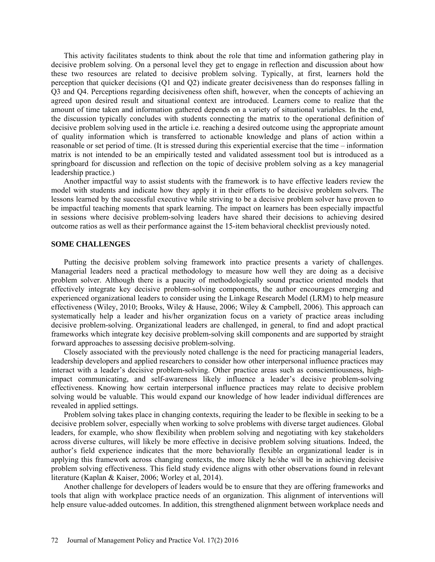This activity facilitates students to think about the role that time and information gathering play in decisive problem solving. On a personal level they get to engage in reflection and discussion about how these two resources are related to decisive problem solving. Typically, at first, learners hold the perception that quicker decisions (Q1 and Q2) indicate greater decisiveness than do responses falling in Q3 and Q4. Perceptions regarding decisiveness often shift, however, when the concepts of achieving an agreed upon desired result and situational context are introduced. Learners come to realize that the amount of time taken and information gathered depends on a variety of situational variables. In the end, the discussion typically concludes with students connecting the matrix to the operational definition of decisive problem solving used in the article i.e. reaching a desired outcome using the appropriate amount of quality information which is transferred to actionable knowledge and plans of action within a reasonable or set period of time. (It is stressed during this experiential exercise that the time – information matrix is not intended to be an empirically tested and validated assessment tool but is introduced as a springboard for discussion and reflection on the topic of decisive problem solving as a key managerial leadership practice.)

Another impactful way to assist students with the framework is to have effective leaders review the model with students and indicate how they apply it in their efforts to be decisive problem solvers. The lessons learned by the successful executive while striving to be a decisive problem solver have proven to be impactful teaching moments that spark learning. The impact on learners has been especially impactful in sessions where decisive problem-solving leaders have shared their decisions to achieving desired outcome ratios as well as their performance against the 15-item behavioral checklist previously noted.

#### **SOME CHALLENGES**

Putting the decisive problem solving framework into practice presents a variety of challenges. Managerial leaders need a practical methodology to measure how well they are doing as a decisive problem solver. Although there is a paucity of methodologically sound practice oriented models that effectively integrate key decisive problem-solving components, the author encourages emerging and experienced organizational leaders to consider using the Linkage Research Model (LRM) to help measure effectiveness (Wiley, 2010; Brooks, Wiley & Hause, 2006; Wiley & Campbell, 2006). This approach can systematically help a leader and his/her organization focus on a variety of practice areas including decisive problem-solving. Organizational leaders are challenged, in general, to find and adopt practical frameworks which integrate key decisive problem-solving skill components and are supported by straight forward approaches to assessing decisive problem-solving.

Closely associated with the previously noted challenge is the need for practicing managerial leaders, leadership developers and applied researchers to consider how other interpersonal influence practices may interact with a leader's decisive problem-solving. Other practice areas such as conscientiousness, highimpact communicating, and self-awareness likely influence a leader's decisive problem-solving effectiveness. Knowing how certain interpersonal influence practices may relate to decisive problem solving would be valuable. This would expand our knowledge of how leader individual differences are revealed in applied settings.

Problem solving takes place in changing contexts, requiring the leader to be flexible in seeking to be a decisive problem solver, especially when working to solve problems with diverse target audiences. Global leaders, for example, who show flexibility when problem solving and negotiating with key stakeholders across diverse cultures, will likely be more effective in decisive problem solving situations. Indeed, the author's field experience indicates that the more behaviorally flexible an organizational leader is in applying this framework across changing contexts, the more likely he/she will be in achieving decisive problem solving effectiveness. This field study evidence aligns with other observations found in relevant literature (Kaplan & Kaiser, 2006; Worley et al, 2014).

Another challenge for developers of leaders would be to ensure that they are offering frameworks and tools that align with workplace practice needs of an organization. This alignment of interventions will help ensure value-added outcomes. In addition, this strengthened alignment between workplace needs and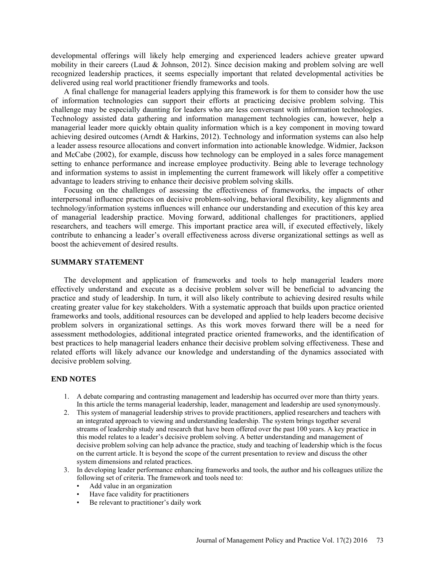developmental offerings will likely help emerging and experienced leaders achieve greater upward mobility in their careers (Laud & Johnson, 2012). Since decision making and problem solving are well recognized leadership practices, it seems especially important that related developmental activities be delivered using real world practitioner friendly frameworks and tools.

A final challenge for managerial leaders applying this framework is for them to consider how the use of information technologies can support their efforts at practicing decisive problem solving. This challenge may be especially daunting for leaders who are less conversant with information technologies. Technology assisted data gathering and information management technologies can, however, help a managerial leader more quickly obtain quality information which is a key component in moving toward achieving desired outcomes (Arndt & Harkins, 2012). Technology and information systems can also help a leader assess resource allocations and convert information into actionable knowledge. Widmier, Jackson and McCabe (2002), for example, discuss how technology can be employed in a sales force management setting to enhance performance and increase employee productivity. Being able to leverage technology and information systems to assist in implementing the current framework will likely offer a competitive advantage to leaders striving to enhance their decisive problem solving skills.

Focusing on the challenges of assessing the effectiveness of frameworks, the impacts of other interpersonal influence practices on decisive problem-solving, behavioral flexibility, key alignments and technology/information systems influences will enhance our understanding and execution of this key area of managerial leadership practice. Moving forward, additional challenges for practitioners, applied researchers, and teachers will emerge. This important practice area will, if executed effectively, likely contribute to enhancing a leader's overall effectiveness across diverse organizational settings as well as boost the achievement of desired results.

#### **SUMMARY STATEMENT**

The development and application of frameworks and tools to help managerial leaders more effectively understand and execute as a decisive problem solver will be beneficial to advancing the practice and study of leadership. In turn, it will also likely contribute to achieving desired results while creating greater value for key stakeholders. With a systematic approach that builds upon practice oriented frameworks and tools, additional resources can be developed and applied to help leaders become decisive problem solvers in organizational settings. As this work moves forward there will be a need for assessment methodologies, additional integrated practice oriented frameworks, and the identification of best practices to help managerial leaders enhance their decisive problem solving effectiveness. These and related efforts will likely advance our knowledge and understanding of the dynamics associated with decisive problem solving.

### **END NOTES**

- 1. A debate comparing and contrasting management and leadership has occurred over more than thirty years. In this article the terms managerial leadership, leader, management and leadership are used synonymously.
- 2. This system of managerial leadership strives to provide practitioners, applied researchers and teachers with an integrated approach to viewing and understanding leadership. The system brings together several streams of leadership study and research that have been offered over the past 100 years. A key practice in this model relates to a leader's decisive problem solving. A better understanding and management of decisive problem solving can help advance the practice, study and teaching of leadership which is the focus on the current article. It is beyond the scope of the current presentation to review and discuss the other system dimensions and related practices.
- 3. In developing leader performance enhancing frameworks and tools, the author and his colleagues utilize the following set of criteria. The framework and tools need to:
	- Add value in an organization
	- Have face validity for practitioners
	- Be relevant to practitioner's daily work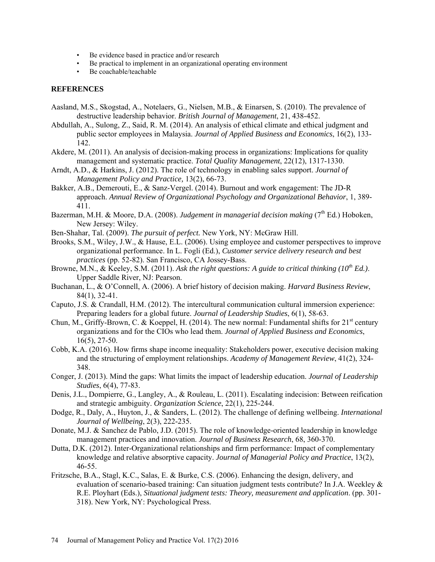- Be evidence based in practice and/or research
- Be practical to implement in an organizational operating environment
- Be coachable/teachable

### **REFERENCES**

- Aasland, M.S., Skogstad, A., Notelaers, G., Nielsen, M.B., & Einarsen, S. (2010). The prevalence of destructive leadership behavior. *British Journal of Management*, 21, 438-452.
- Abdullah, A., Sulong, Z., Said, R. M. (2014). An analysis of ethical climate and ethical judgment and public sector employees in Malaysia. *Journal of Applied Business and Economics*, 16(2), 133- 142.
- Akdere, M. (2011). An analysis of decision-making process in organizations: Implications for quality management and systematic practice. *Total Quality Management*, 22(12), 1317-1330.
- Arndt, A.D., & Harkins, J. (2012). The role of technology in enabling sales support. *Journal of Management Policy and Practice,* 13(2), 66-73.
- Bakker, A.B., Demerouti, E., & Sanz-Vergel. (2014). Burnout and work engagement: The JD-R approach. *Annual Review of Organizational Psychology and Organizational Behavior*, 1, 389- 411.
- Bazerman, M.H. & Moore, D.A. (2008). *Judgement in managerial decision making* (7<sup>th</sup> Ed.) Hoboken, New Jersey: Wiley.
- Ben-Shahar, Tal. (2009). *The pursuit of perfect.* New York, NY: McGraw Hill.
- Brooks, S.M., Wiley, J.W., & Hause, E.L. (2006). Using employee and customer perspectives to improve organizational performance. In L. Fogli (Ed.), *Customer service delivery research and best practices* (pp. 52-82). San Francisco, CA Jossey-Bass.
- Browne, M.N., & Keeley, S.M. (2011). Ask the right questions: A guide to critical thinking (10<sup>th</sup> Ed.). Upper Saddle River, NJ: Pearson.
- Buchanan, L., & O'Connell, A. (2006). A brief history of decision making. *Harvard Business Review*, 84(1), 32-41.
- Caputo, J.S. & Crandall, H.M. (2012). The intercultural communication cultural immersion experience: Preparing leaders for a global future. *Journal of Leadership Studies*, 6(1), 58-63.
- Chun, M., Griffy-Brown, C. & Koeppel, H. (2014). The new normal: Fundamental shifts for 21<sup>st</sup> century organizations and for the CIOs who lead them. *Journal of Applied Business and Economics*, 16(5), 27-50.
- Cobb, K.A. (2016). How firms shape income inequality: Stakeholders power, executive decision making and the structuring of employment relationships. *Academy of Management Review*, 41(2), 324- 348.
- Conger, J. (2013). Mind the gaps: What limits the impact of leadership education. *Journal of Leadership Studies*, 6(4), 77-83.
- Denis, J.L., Dompierre, G., Langley, A., & Rouleau, L. (2011). Escalating indecision: Between reification and strategic ambiguity. *Organization Science*, 22(1), 225-244.
- Dodge, R., Daly, A., Huyton, J., & Sanders, L. (2012). The challenge of defining wellbeing. *International Journal of Wellbeing*, 2(3), 222-235.
- Donate, M.J. & Sanchez de Pablo, J.D. (2015). The role of knowledge-oriented leadership in knowledge management practices and innovation. *Journal of Business Research*, 68, 360-370.
- Dutta, D.K. (2012). Inter-Organizational relationships and firm performance: Impact of complementary knowledge and relative absorptive capacity. *Journal of Managerial Policy and Practice*, 13(2), 46-55.
- Fritzsche, B.A., Stagl, K.C., Salas, E. & Burke, C.S. (2006). Enhancing the design, delivery, and evaluation of scenario-based training: Can situation judgment tests contribute? In J.A. Weekley & R.E. Ployhart (Eds.), *Situational judgment tests: Theory, measurement and application*. (pp. 301- 318). New York, NY: Psychological Press.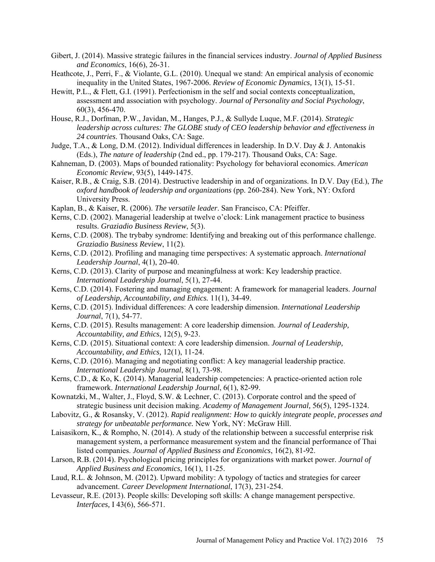- Gibert, J. (2014). Massive strategic failures in the financial services industry. *Journal of Applied Business and Economics*, 16(6), 26-31.
- Heathcote, J., Perri, F., & Violante, G.L. (2010). Unequal we stand: An empirical analysis of economic inequality in the United States, 1967-2006. *Review of Economic Dynamics,* 13(1), 15-51.
- Hewitt, P.L., & Flett, G.I. (1991). Perfectionism in the self and social contexts conceptualization, assessment and association with psychology. *Journal of Personality and Social Psychology*, 60(3), 456-470.
- House, R.J., Dorfman, P.W., Javidan, M., Hanges, P.J., & Sullyde Luque, M.F. (2014). *Strategic leadership across cultures: The GLOBE study of CEO leadership behavior and effectiveness in 24 countries*. Thousand Oaks, CA: Sage.
- Judge, T.A., & Long, D.M. (2012). Individual differences in leadership. In D.V. Day & J. Antonakis (Eds.), *The nature of leadership* (2nd ed., pp. 179-217). Thousand Oaks, CA: Sage.
- Kahneman, D. (2003). Maps of bounded rationality: Psychology for behavioral economics. *American Economic Review*, 93(5), 1449-1475.
- Kaiser, R.B., & Craig, S.B. (2014). Destructive leadership in and of organizations. In D.V. Day (Ed.), *The oxford handbook of leadership and organizations* (pp. 260-284). New York, NY: Oxford University Press.
- Kaplan, B., & Kaiser, R. (2006). *The versatile leader*. San Francisco, CA: Pfeiffer.
- Kerns, C.D. (2002). Managerial leadership at twelve o'clock: Link management practice to business results. *Graziadio Business Review*, 5(3).
- Kerns, C.D. (2008). The trybaby syndrome: Identifying and breaking out of this performance challenge. *Graziadio Business Review*, 11(2).
- Kerns, C.D. (2012). Profiling and managing time perspectives: A systematic approach. *International Leadership Journal*, 4(1), 20-40.
- Kerns, C.D. (2013). Clarity of purpose and meaningfulness at work: Key leadership practice. *International Leadership Journal*, 5(1), 27-44.
- Kerns, C.D. (2014). Fostering and managing engagement: A framework for managerial leaders. *Journal of Leadership, Accountability, and Ethics.* 11(1), 34-49.
- Kerns, C.D. (2015). Individual differences: A core leadership dimension. *International Leadership Journal*, 7(1), 54-77.
- Kerns, C.D. (2015). Results management: A core leadership dimension. *Journal of Leadership, Accountability, and Ethics*, 12(5), 9-23.
- Kerns, C.D. (2015). Situational context: A core leadership dimension. *Journal of Leadership, Accountability, and Ethics,* 12(1), 11-24.
- Kerns, C.D. (2016). Managing and negotiating conflict: A key managerial leadership practice. *International Leadership Journal*, 8(1), 73-98.
- Kerns, C.D., & Ko, K. (2014). Managerial leadership competencies: A practice-oriented action role framework. *International Leadership Journal*, 6(1), 82-99.
- Kownatzki, M., Walter, J., Floyd, S.W. & Lechner, C. (2013). Corporate control and the speed of strategic business unit decision making. *Academy of Management Journal,* 56(5), 1295-1324.
- Labovitz, G., & Rosansky, V. (2012). *Rapid realignment: How to quickly integrate people, processes and strategy for unbeatable performance.* New York, NY: McGraw Hill.
- Laisasikorn, K., & Rompho, N. (2014). A study of the relationship between a successful enterprise risk management system, a performance measurement system and the financial performance of Thai listed companies. *Journal of Applied Business and Economics*, 16(2), 81-92.
- Larson, R.B. (2014). Psychological pricing principles for organizations with market power. *Journal of Applied Business and Economics*, 16(1), 11-25.
- Laud, R.L. & Johnson, M. (2012). Upward mobility: A typology of tactics and strategies for career advancement. *Career Development International*, 17(3), 231-254.
- Levasseur, R.E. (2013). People skills: Developing soft skills: A change management perspective. *Interfaces,* I 43(6), 566-571.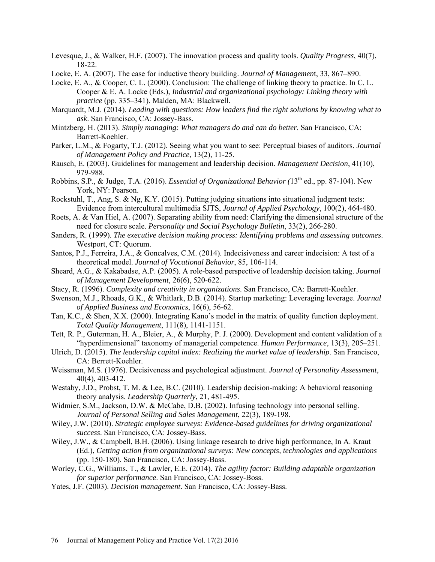- Levesque, J., & Walker, H.F. (2007). The innovation process and quality tools. *Quality Progress*, 40(7), 18-22.
- Locke, E. A. (2007). The case for inductive theory building. *Journal of Managemen*t, 33, 867–890.
- Locke, E. A., & Cooper, C. L. (2000). Conclusion: The challenge of linking theory to practice. In C. L. Cooper & E. A. Locke (Eds.), *Industrial and organizational psychology: Linking theory with practice* (pp. 335–341). Malden, MA: Blackwell.
- Marquardt, M.J. (2014). *Leading with questions: How leaders find the right solutions by knowing what to ask*. San Francisco, CA: Jossey-Bass.
- Mintzberg, H. (2013). *Simply managing: What managers do and can do better*. San Francisco, CA: Barrett-Koehler.
- Parker, L.M., & Fogarty, T.J. (2012). Seeing what you want to see: Perceptual biases of auditors. *Journal of Management Policy and Practice*, 13(2), 11-25.
- Rausch, E. (2003). Guidelines for management and leadership decision. *Management Decision*, 41(10), 979-988.
- Robbins, S.P., & Judge, T.A. (2016). *Essential of Organizational Behavior (*13th ed., pp. 87-104). New York, NY: Pearson.
- Rockstuhl, T., Ang, S. & Ng, K.Y. (2015). Putting judging situations into situational judgment tests: Evidence from intercultural multimedia SJTS, *Journal of Applied Psychology*, 100(2), 464-480.
- Roets, A. & Van Hiel, A. (2007). Separating ability from need: Clarifying the dimensional structure of the need for closure scale. *Personality and Social Psychology Bulletin*, 33(2), 266-280.
- Sanders, R. (1999). *The executive decision making process: Identifying problems and assessing outcomes*. Westport, CT: Quorum.
- Santos, P.J., Ferreira, J.A., & Goncalves, C.M. (2014). Indecisiveness and career indecision: A test of a theoretical model. *Journal of Vocational Behavior*, 85, 106-114.
- Sheard, A.G., & Kakabadse, A.P. (2005). A role-based perspective of leadership decision taking. *Journal of Management Development*, 26(6), 520-622.
- Stacy, R. (1996). *Complexity and creativity in organizations*. San Francisco, CA: Barrett-Koehler.
- Swenson, M.J., Rhoads, G.K., & Whitlark, D.B. (2014). Startup marketing: Leveraging leverage. *Journal of Applied Business and Economics*, 16(6), 56-62.
- Tan, K.C., & Shen, X.X. (2000). Integrating Kano's model in the matrix of quality function deployment. *Total Quality Management*, 111(8), 1141-1151.
- Tett, R. P., Guterman, H. A., Bleier, A., & Murphy, P. J. (2000). Development and content validation of a "hyperdimensional" taxonomy of managerial competence. *Human Performance*, 13(3), 205–251.
- Ulrich, D. (2015). *The leadership capital index: Realizing the market value of leadership*. San Francisco, CA: Berrett-Koehler.
- Weissman, M.S. (1976). Decisiveness and psychological adjustment. *Journal of Personality Assessment*, 40(4), 403-412.
- Westaby, J.D., Probst, T. M. & Lee, B.C. (2010). Leadership decision-making: A behavioral reasoning theory analysis. *Leadership Quarterly*, 21, 481-495.
- Widmier, S.M., Jackson, D.W. & McCabe, D.B. (2002). Infusing technology into personal selling. *Journal of Personal Selling and Sales Management*, 22(3), 189-198.
- Wiley, J.W. (2010). *Strategic employee surveys: Evidence-based guidelines for driving organizational success*. San Francisco, CA: Jossey-Bass.
- Wiley, J.W., & Campbell, B.H. (2006). Using linkage research to drive high performance, In A. Kraut (Ed.), *Getting action from organizational surveys: New concepts, technologies and applications*  (pp. 150-180). San Francisco, CA: Jossey-Bass.
- Worley, C.G., Williams, T., & Lawler, E.E. (2014). *The agility factor: Building adaptable organization for superior performance*. San Francisco, CA: Jossey-Boss.
- Yates, J.F. (2003). *Decision management*. San Francisco, CA: Jossey-Bass.